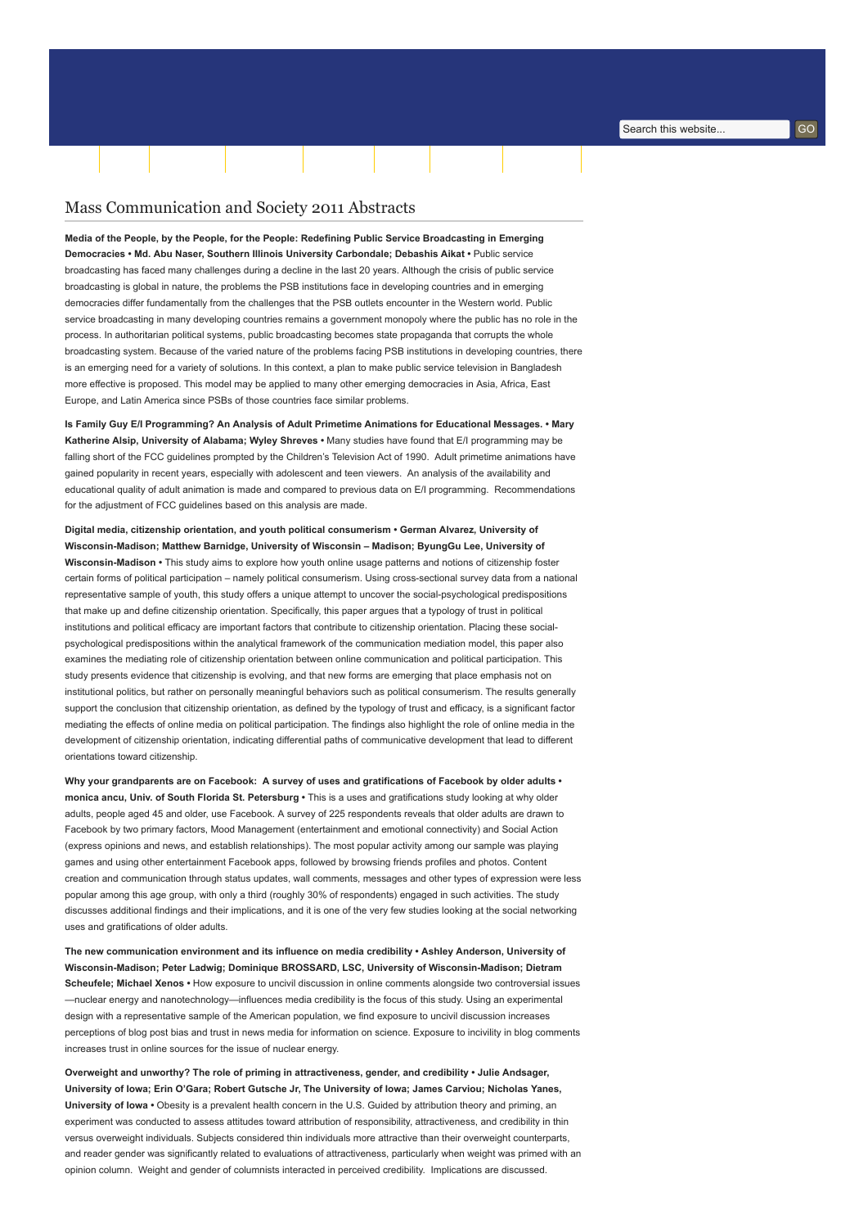## Mass Communication and Society 2011 Abstracts

Media of the People, by the People, for the People: Redefining Public Service Broadcasting in Emerging Democracies • Md. Abu Naser, Southern Illinois University Carbondale; Debashis Aikat • Public service broadcasting has faced many challenges during a decline in the last 20 years. Although the crisis of public service broadcasting is global in nature, the problems the PSB institutions face in developing countries and in emerging democracies differ fundamentally from the challenges that the PSB outlets encounter in the Western world. Public service broadcasting in many developing countries remains a government monopoly where the public has no role in the process. In authoritarian political systems, public broadcasting becomes state propaganda that corrupts the whole broadcasting system. Because of the varied nature of the problems facing PSB institutions in developing countries, there is an emerging need for a variety of solutions. In this context, a plan to make public service television in Bangladesh more effective is proposed. This model may be applied to many other emerging democracies in Asia, Africa, East Europe, and Latin America since PSBs of those countries face similar problems.

[Home](http://www.aejmc.org/home) [About](http://www.aejmc.org/home/about/) [Scholarship](http://www.aejmc.org/home/scholarship/) [Publications](http://www.aejmc.org/home/publications/) [Resources](http://www.aejmc.org/home/resources/) [Events](http://www.aejmc.org/home/events/) [Advertising](http://www.aejmc.org/home/advertising/) [Membership](http://www.aejmc.org/home/membership/) Tuesday, 2 January 2018

Is Family Guy E/I Programming? An Analysis of Adult Primetime Animations for Educational Messages. • Mary Katherine Alsip, University of Alabama; Wyley Shreves • Many studies have found that E/I programming may be falling short of the FCC guidelines prompted by the Children's Television Act of 1990. Adult primetime animations have gained popularity in recent years, especially with adolescent and teen viewers. An analysis of the availability and educational quality of adult animation is made and compared to previous data on E/I programming. Recommendations for the adjustment of FCC guidelines based on this analysis are made.

Digital media, citizenship orientation, and youth political consumerism • German Alvarez, University of Wisconsin-Madison; Matthew Barnidge, University of Wisconsin – Madison; ByungGu Lee, University of Wisconsin-Madison • This study aims to explore how youth online usage patterns and notions of citizenship foster certain forms of political participation – namely political consumerism. Using cross-sectional survey data from a national representative sample of youth, this study offers a unique attempt to uncover the social-psychological predispositions that make up and define citizenship orientation. Specifically, this paper argues that a typology of trust in political institutions and political efficacy are important factors that contribute to citizenship orientation. Placing these socialpsychological predispositions within the analytical framework of the communication mediation model, this paper also examines the mediating role of citizenship orientation between online communication and political participation. This study presents evidence that citizenship is evolving, and that new forms are emerging that place emphasis not on institutional politics, but rather on personally meaningful behaviors such as political consumerism. The results generally support the conclusion that citizenship orientation, as defined by the typology of trust and efficacy, is a significant factor mediating the effects of online media on political participation. The findings also highlight the role of online media in the development of citizenship orientation, indicating differential paths of communicative development that lead to different orientations toward citizenship.

Why your grandparents are on Facebook: A survey of uses and gratifications of Facebook by older adults • monica ancu, Univ. of South Florida St. Petersburg · This is a uses and gratifications study looking at why older adults, people aged 45 and older, use Facebook. A survey of 225 respondents reveals that older adults are drawn to Facebook by two primary factors, Mood Management (entertainment and emotional connectivity) and Social Action (express opinions and news, and establish relationships). The most popular activity among our sample was playing games and using other entertainment Facebook apps, followed by browsing friends profiles and photos. Content creation and communication through status updates, wall comments, messages and other types of expression were less popular among this age group, with only a third (roughly 30% of respondents) engaged in such activities. The study discusses additional findings and their implications, and it is one of the very few studies looking at the social networking uses and gratifications of older adults.

The new communication environment and its influence on media credibility • Ashley Anderson, University of Wisconsin-Madison; Peter Ladwig; Dominique BROSSARD, LSC, University of Wisconsin-Madison; Dietram Scheufele; Michael Xenos • How exposure to uncivil discussion in online comments alongside two controversial issues —nuclear energy and nanotechnology—influences media credibility is the focus of this study. Using an experimental design with a representative sample of the American population, we find exposure to uncivil discussion increases perceptions of blog post bias and trust in news media for information on science. Exposure to incivility in blog comments increases trust in online sources for the issue of nuclear energy.

Overweight and unworthy? The role of priming in attractiveness, gender, and credibility • Julie Andsager, University of Iowa; Erin O'Gara; Robert Gutsche Jr, The University of Iowa; James Carviou; Nicholas Yanes, University of Iowa • Obesity is a prevalent health concern in the U.S. Guided by attribution theory and priming, an experiment was conducted to assess attitudes toward attribution of responsibility, attractiveness, and credibility in thin versus overweight individuals. Subjects considered thin individuals more attractive than their overweight counterparts, and reader gender was significantly related to evaluations of attractiveness, particularly when weight was primed with an opinion column. Weight and gender of columnists interacted in perceived credibility. Implications are discussed.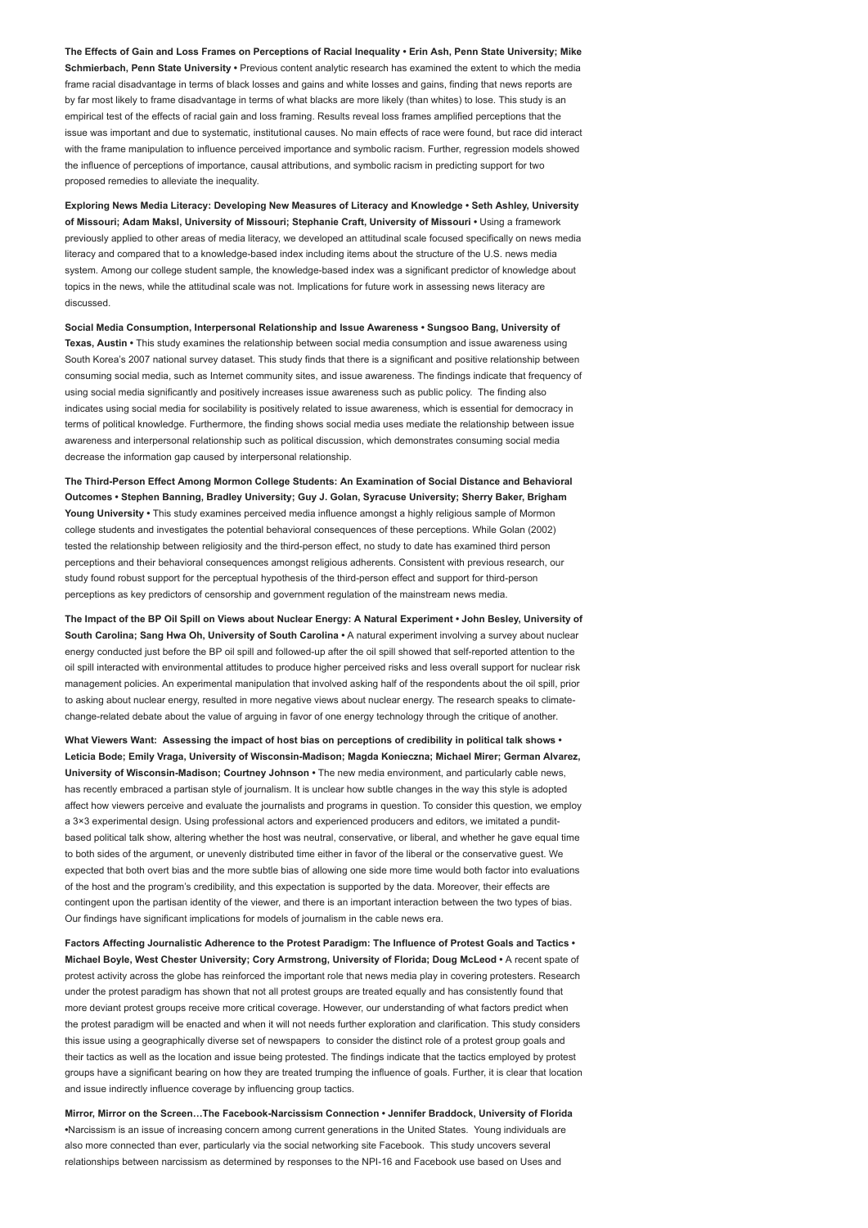The Effects of Gain and Loss Frames on Perceptions of Racial Inequality • Erin Ash, Penn State University; Mike Schmierbach, Penn State University • Previous content analytic research has examined the extent to which the media frame racial disadvantage in terms of black losses and gains and white losses and gains, finding that news reports are by far most likely to frame disadvantage in terms of what blacks are more likely (than whites) to lose. This study is an empirical test of the effects of racial gain and loss framing. Results reveal loss frames amplified perceptions that the issue was important and due to systematic, institutional causes. No main effects of race were found, but race did interact with the frame manipulation to influence perceived importance and symbolic racism. Further, regression models showed the influence of perceptions of importance, causal attributions, and symbolic racism in predicting support for two proposed remedies to alleviate the inequality.

Exploring News Media Literacy: Developing New Measures of Literacy and Knowledge • Seth Ashley, University of Missouri; Adam Maksl, University of Missouri; Stephanie Craft, University of Missouri • Using a framework previously applied to other areas of media literacy, we developed an attitudinal scale focused specifically on news media literacy and compared that to a knowledge-based index including items about the structure of the U.S. news media system. Among our college student sample, the knowledge-based index was a significant predictor of knowledge about topics in the news, while the attitudinal scale was not. Implications for future work in assessing news literacy are discussed.

Social Media Consumption, Interpersonal Relationship and Issue Awareness • Sungsoo Bang, University of Texas, Austin • This study examines the relationship between social media consumption and issue awareness using South Korea's 2007 national survey dataset. This study finds that there is a significant and positive relationship between consuming social media, such as Internet community sites, and issue awareness. The findings indicate that frequency of using social media significantly and positively increases issue awareness such as public policy. The finding also indicates using social media for socilability is positively related to issue awareness, which is essential for democracy in terms of political knowledge. Furthermore, the finding shows social media uses mediate the relationship between issue awareness and interpersonal relationship such as political discussion, which demonstrates consuming social media decrease the information gap caused by interpersonal relationship.

The Third-Person Effect Among Mormon College Students: An Examination of Social Distance and Behavioral Outcomes • Stephen Banning, Bradley University; Guy J. Golan, Syracuse University; Sherry Baker, Brigham Young University • This study examines perceived media influence amongst a highly religious sample of Mormon college students and investigates the potential behavioral consequences of these perceptions. While Golan (2002) tested the relationship between religiosity and the third-person effect, no study to date has examined third person perceptions and their behavioral consequences amongst religious adherents. Consistent with previous research, our study found robust support for the perceptual hypothesis of the third-person effect and support for third-person perceptions as key predictors of censorship and government regulation of the mainstream news media.

The Impact of the BP Oil Spill on Views about Nuclear Energy: A Natural Experiment • John Besley, University of South Carolina; Sang Hwa Oh, University of South Carolina • A natural experiment involving a survey about nuclear energy conducted just before the BP oil spill and followed-up after the oil spill showed that self-reported attention to the oil spill interacted with environmental attitudes to produce higher perceived risks and less overall support for nuclear risk management policies. An experimental manipulation that involved asking half of the respondents about the oil spill, prior to asking about nuclear energy, resulted in more negative views about nuclear energy. The research speaks to climatechange-related debate about the value of arguing in favor of one energy technology through the critique of another.

What Viewers Want: Assessing the impact of host bias on perceptions of credibility in political talk shows • Leticia Bode; Emily Vraga, University of Wisconsin-Madison; Magda Konieczna; Michael Mirer; German Alvarez, University of Wisconsin-Madison; Courtney Johnson • The new media environment, and particularly cable news, has recently embraced a partisan style of journalism. It is unclear how subtle changes in the way this style is adopted affect how viewers perceive and evaluate the journalists and programs in question. To consider this question, we employ a 3×3 experimental design. Using professional actors and experienced producers and editors, we imitated a punditbased political talk show, altering whether the host was neutral, conservative, or liberal, and whether he gave equal time to both sides of the argument, or unevenly distributed time either in favor of the liberal or the conservative guest. We expected that both overt bias and the more subtle bias of allowing one side more time would both factor into evaluations of the host and the program's credibility, and this expectation is supported by the data. Moreover, their effects are contingent upon the partisan identity of the viewer, and there is an important interaction between the two types of bias. Our findings have significant implications for models of journalism in the cable news era.

Factors Affecting Journalistic Adherence to the Protest Paradigm: The Influence of Protest Goals and Tactics • Michael Boyle, West Chester University; Cory Armstrong, University of Florida; Doug McLeod • A recent spate of protest activity across the globe has reinforced the important role that news media play in covering protesters. Research under the protest paradigm has shown that not all protest groups are treated equally and has consistently found that more deviant protest groups receive more critical coverage. However, our understanding of what factors predict when the protest paradigm will be enacted and when it will not needs further exploration and clarification. This study considers this issue using a geographically diverse set of newspapers to consider the distinct role of a protest group goals and their tactics as well as the location and issue being protested. The findings indicate that the tactics employed by protest groups have a significant bearing on how they are treated trumping the influence of goals. Further, it is clear that location and issue indirectly influence coverage by influencing group tactics.

Mirror, Mirror on the Screen…The Facebook-Narcissism Connection • Jennifer Braddock, University of Florida •Narcissism is an issue of increasing concern among current generations in the United States. Young individuals are also more connected than ever, particularly via the social networking site Facebook. This study uncovers several relationships between narcissism as determined by responses to the NPI-16 and Facebook use based on Uses and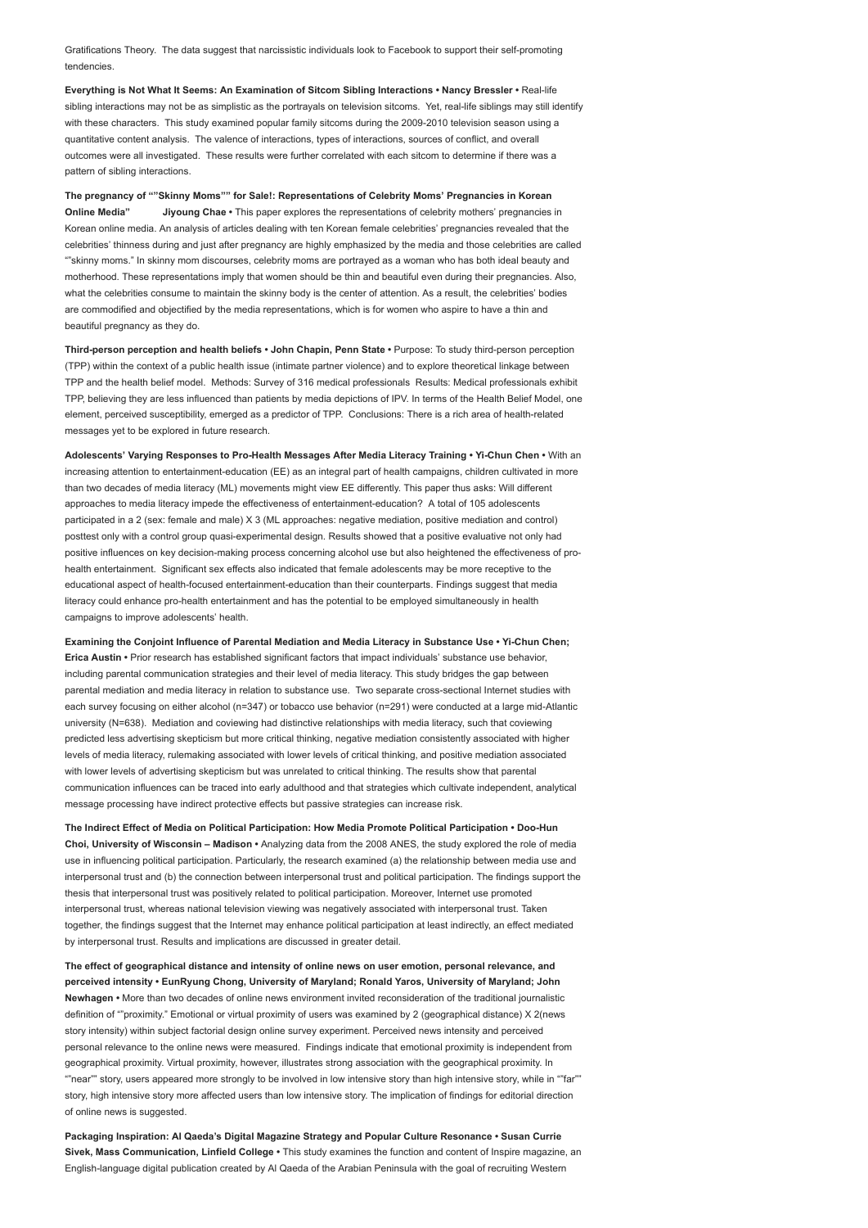Gratifications Theory. The data suggest that narcissistic individuals look to Facebook to support their self-promoting tendencies.

Everything is Not What It Seems: An Examination of Sitcom Sibling Interactions • Nancy Bressler • Real-life sibling interactions may not be as simplistic as the portrayals on television sitcoms. Yet, real-life siblings may still identify with these characters. This study examined popular family sitcoms during the 2009-2010 television season using a quantitative content analysis. The valence of interactions, types of interactions, sources of conflict, and overall outcomes were all investigated. These results were further correlated with each sitcom to determine if there was a pattern of sibling interactions.

The pregnancy of ""Skinny Moms"" for Sale!: Representations of Celebrity Moms' Pregnancies in Korean Online Media" Jiyoung Chae • This paper explores the representations of celebrity mothers' pregnancies in Korean online media. An analysis of articles dealing with ten Korean female celebrities' pregnancies revealed that the celebrities' thinness during and just after pregnancy are highly emphasized by the media and those celebrities are called ""skinny moms." In skinny mom discourses, celebrity moms are portrayed as a woman who has both ideal beauty and motherhood. These representations imply that women should be thin and beautiful even during their pregnancies. Also, what the celebrities consume to maintain the skinny body is the center of attention. As a result, the celebrities' bodies are commodified and objectified by the media representations, which is for women who aspire to have a thin and beautiful pregnancy as they do.

Third-person perception and health beliefs • John Chapin, Penn State • Purpose: To study third-person perception (TPP) within the context of a public health issue (intimate partner violence) and to explore theoretical linkage between TPP and the health belief model. Methods: Survey of 316 medical professionals Results: Medical professionals exhibit TPP, believing they are less influenced than patients by media depictions of IPV. In terms of the Health Belief Model, one element, perceived susceptibility, emerged as a predictor of TPP. Conclusions: There is a rich area of health-related messages yet to be explored in future research.

Adolescents' Varying Responses to Pro-Health Messages After Media Literacy Training • Yi-Chun Chen • With an increasing attention to entertainment-education (EE) as an integral part of health campaigns, children cultivated in more than two decades of media literacy (ML) movements might view EE differently. This paper thus asks: Will different approaches to media literacy impede the effectiveness of entertainment-education? A total of 105 adolescents participated in a 2 (sex: female and male) X 3 (ML approaches: negative mediation, positive mediation and control) posttest only with a control group quasi-experimental design. Results showed that a positive evaluative not only had positive influences on key decision-making process concerning alcohol use but also heightened the effectiveness of prohealth entertainment. Significant sex effects also indicated that female adolescents may be more receptive to the educational aspect of health-focused entertainment-education than their counterparts. Findings suggest that media literacy could enhance pro-health entertainment and has the potential to be employed simultaneously in health campaigns to improve adolescents' health.

Examining the Conjoint Influence of Parental Mediation and Media Literacy in Substance Use • Yi-Chun Chen; Erica Austin • Prior research has established significant factors that impact individuals' substance use behavior, including parental communication strategies and their level of media literacy. This study bridges the gap between parental mediation and media literacy in relation to substance use. Two separate cross-sectional Internet studies with each survey focusing on either alcohol (n=347) or tobacco use behavior (n=291) were conducted at a large mid-Atlantic university (N=638). Mediation and coviewing had distinctive relationships with media literacy, such that coviewing predicted less advertising skepticism but more critical thinking, negative mediation consistently associated with higher levels of media literacy, rulemaking associated with lower levels of critical thinking, and positive mediation associated with lower levels of advertising skepticism but was unrelated to critical thinking. The results show that parental communication influences can be traced into early adulthood and that strategies which cultivate independent, analytical message processing have indirect protective effects but passive strategies can increase risk.

The Indirect Effect of Media on Political Participation: How Media Promote Political Participation • Doo-Hun Choi, University of Wisconsin – Madison • Analyzing data from the 2008 ANES, the study explored the role of media use in influencing political participation. Particularly, the research examined (a) the relationship between media use and interpersonal trust and (b) the connection between interpersonal trust and political participation. The findings support the thesis that interpersonal trust was positively related to political participation. Moreover, Internet use promoted interpersonal trust, whereas national television viewing was negatively associated with interpersonal trust. Taken together, the findings suggest that the Internet may enhance political participation at least indirectly, an effect mediated by interpersonal trust. Results and implications are discussed in greater detail.

The effect of geographical distance and intensity of online news on user emotion, personal relevance, and perceived intensity • EunRyung Chong, University of Maryland; Ronald Yaros, University of Maryland; John Newhagen • More than two decades of online news environment invited reconsideration of the traditional journalistic definition of ""proximity." Emotional or virtual proximity of users was examined by 2 (geographical distance) X 2(news story intensity) within subject factorial design online survey experiment. Perceived news intensity and perceived personal relevance to the online news were measured. Findings indicate that emotional proximity is independent from geographical proximity. Virtual proximity, however, illustrates strong association with the geographical proximity. In ""near"" story, users appeared more strongly to be involved in low intensive story than high intensive story, while in ""far"" story, high intensive story more affected users than low intensive story. The implication of findings for editorial direction of online news is suggested.

Packaging Inspiration: Al Qaeda's Digital Magazine Strategy and Popular Culture Resonance • Susan Currie Sivek, Mass Communication, Linfield College • This study examines the function and content of Inspire magazine, an English-language digital publication created by Al Qaeda of the Arabian Peninsula with the goal of recruiting Western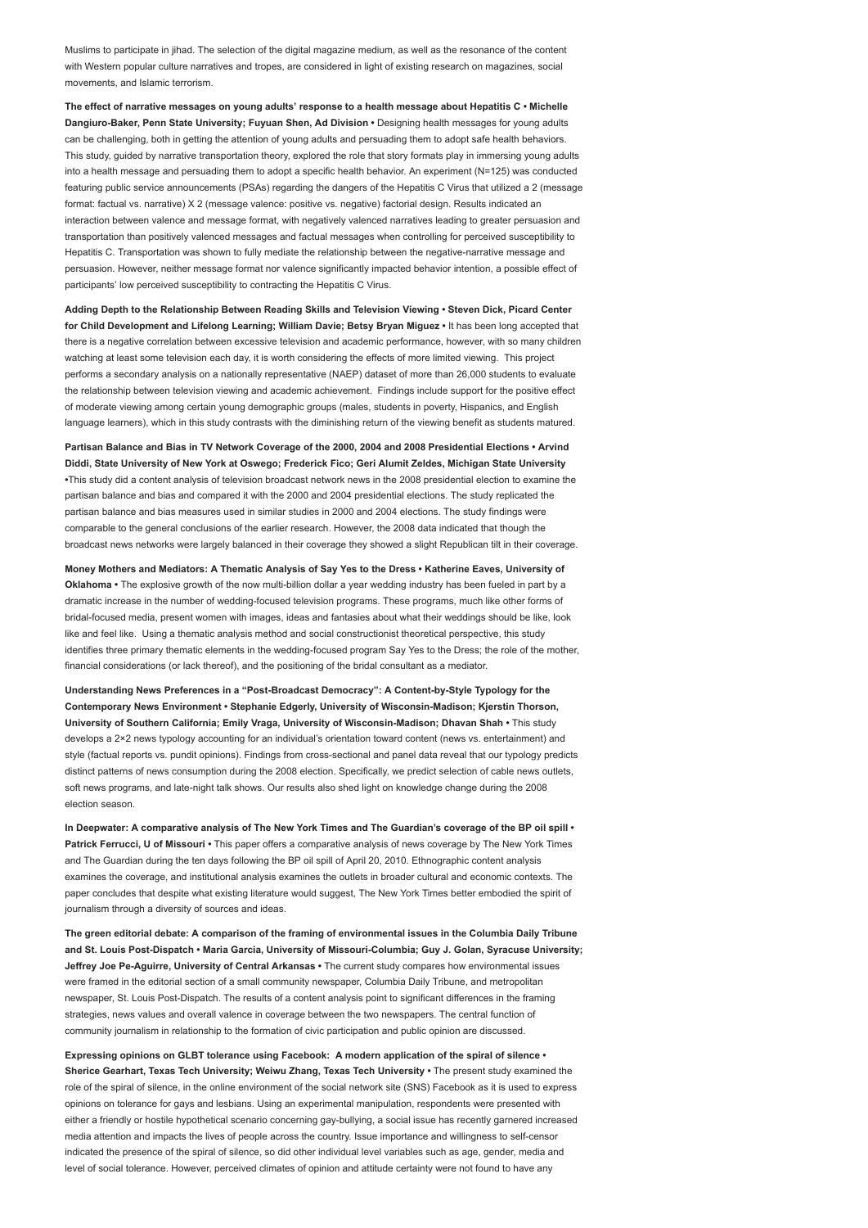Muslims to participate in jihad. The selection of the digital magazine medium, as well as the resonance of the content with Western popular culture narratives and tropes, are considered in light of existing research on magazines, social movements, and Islamic terrorism.

The effect of narrative messages on young adults' response to a health message about Hepatitis C • Michelle Dangiuro-Baker, Penn State University; Fuyuan Shen, Ad Division · Designing health messages for young adults can be challenging, both in getting the attention of young adults and persuading them to adopt safe health behaviors. This study, guided by narrative transportation theory, explored the role that story formats play in immersing young adults into a health message and persuading them to adopt a specific health behavior. An experiment (N=125) was conducted featuring public service announcements (PSAs) regarding the dangers of the Hepatitis C Virus that utilized a 2 (message format: factual vs. narrative) X 2 (message valence: positive vs. negative) factorial design. Results indicated an interaction between valence and message format, with negatively valenced narratives leading to greater persuasion and transportation than positively valenced messages and factual messages when controlling for perceived susceptibility to Hepatitis C. Transportation was shown to fully mediate the relationship between the negative-narrative message and persuasion. However, neither message format nor valence significantly impacted behavior intention, a possible effect of participants' low perceived susceptibility to contracting the Hepatitis C Virus.

Adding Depth to the Relationship Between Reading Skills and Television Viewing • Steven Dick, Picard Center for Child Development and Lifelong Learning; William Davie; Betsy Bryan Miguez • It has been long accepted that there is a negative correlation between excessive television and academic performance, however, with so many children watching at least some television each day, it is worth considering the effects of more limited viewing. This project performs a secondary analysis on a nationally representative (NAEP) dataset of more than 26,000 students to evaluate the relationship between television viewing and academic achievement. Findings include support for the positive effect of moderate viewing among certain young demographic groups (males, students in poverty, Hispanics, and English language learners), which in this study contrasts with the diminishing return of the viewing benefit as students matured.

Partisan Balance and Bias in TV Network Coverage of the 2000, 2004 and 2008 Presidential Elections • Arvind Diddi, State University of New York at Oswego; Frederick Fico; Geri Alumit Zeldes, Michigan State University •This study did a content analysis of television broadcast network news in the 2008 presidential election to examine the partisan balance and bias and compared it with the 2000 and 2004 presidential elections. The study replicated the partisan balance and bias measures used in similar studies in 2000 and 2004 elections. The study findings were comparable to the general conclusions of the earlier research. However, the 2008 data indicated that though the broadcast news networks were largely balanced in their coverage they showed a slight Republican tilt in their coverage.

Money Mothers and Mediators: A Thematic Analysis of Say Yes to the Dress • Katherine Eaves, University of Oklahoma • The explosive growth of the now multi-billion dollar a year wedding industry has been fueled in part by a dramatic increase in the number of wedding-focused television programs. These programs, much like other forms of bridal-focused media, present women with images, ideas and fantasies about what their weddings should be like, look like and feel like. Using a thematic analysis method and social constructionist theoretical perspective, this study identifies three primary thematic elements in the wedding-focused program Say Yes to the Dress; the role of the mother, financial considerations (or lack thereof), and the positioning of the bridal consultant as a mediator.

Understanding News Preferences in a "Post-Broadcast Democracy": A Content-by-Style Typology for the Contemporary News Environment • Stephanie Edgerly, University of Wisconsin-Madison; Kjerstin Thorson, University of Southern California; Emily Vraga, University of Wisconsin-Madison; Dhavan Shah • This study develops a 2×2 news typology accounting for an individual's orientation toward content (news vs. entertainment) and style (factual reports vs. pundit opinions). Findings from cross-sectional and panel data reveal that our typology predicts distinct patterns of news consumption during the 2008 election. Specifically, we predict selection of cable news outlets, soft news programs, and late-night talk shows. Our results also shed light on knowledge change during the 2008 election season.

In Deepwater: A comparative analysis of The New York Times and The Guardian's coverage of the BP oil spill • Patrick Ferrucci, U of Missouri • This paper offers a comparative analysis of news coverage by The New York Times and The Guardian during the ten days following the BP oil spill of April 20, 2010. Ethnographic content analysis examines the coverage, and institutional analysis examines the outlets in broader cultural and economic contexts. The paper concludes that despite what existing literature would suggest, The New York Times better embodied the spirit of journalism through a diversity of sources and ideas.

The green editorial debate: A comparison of the framing of environmental issues in the Columbia Daily Tribune and St. Louis Post-Dispatch • Maria Garcia, University of Missouri-Columbia; Guy J. Golan, Syracuse University; Jeffrey Joe Pe-Aguirre, University of Central Arkansas • The current study compares how environmental issues were framed in the editorial section of a small community newspaper, Columbia Daily Tribune, and metropolitan newspaper, St. Louis Post-Dispatch. The results of a content analysis point to significant differences in the framing strategies, news values and overall valence in coverage between the two newspapers. The central function of community journalism in relationship to the formation of civic participation and public opinion are discussed.

Expressing opinions on GLBT tolerance using Facebook: A modern application of the spiral of silence • Sherice Gearhart, Texas Tech University; Weiwu Zhang, Texas Tech University • The present study examined the role of the spiral of silence, in the online environment of the social network site (SNS) Facebook as it is used to express opinions on tolerance for gays and lesbians. Using an experimental manipulation, respondents were presented with either a friendly or hostile hypothetical scenario concerning gay-bullying, a social issue has recently garnered increased media attention and impacts the lives of people across the country. Issue importance and willingness to self-censor indicated the presence of the spiral of silence, so did other individual level variables such as age, gender, media and level of social tolerance. However, perceived climates of opinion and attitude certainty were not found to have any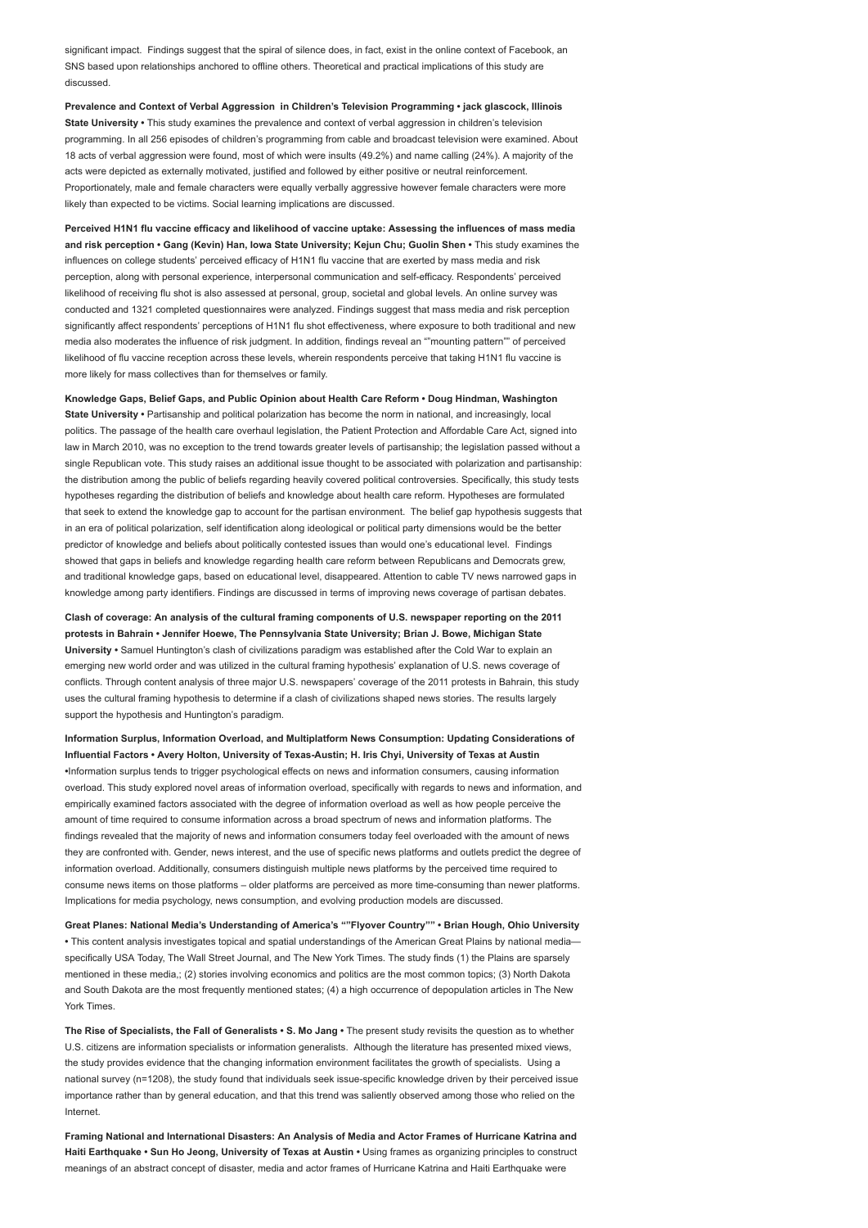significant impact. Findings suggest that the spiral of silence does, in fact, exist in the online context of Facebook, an SNS based upon relationships anchored to offline others. Theoretical and practical implications of this study are discussed.

Prevalence and Context of Verbal Aggression in Children's Television Programming • jack glascock, Illinois State University • This study examines the prevalence and context of verbal aggression in children's television programming. In all 256 episodes of children's programming from cable and broadcast television were examined. About 18 acts of verbal aggression were found, most of which were insults (49.2%) and name calling (24%). A majority of the acts were depicted as externally motivated, justified and followed by either positive or neutral reinforcement. Proportionately, male and female characters were equally verbally aggressive however female characters were more likely than expected to be victims. Social learning implications are discussed.

Perceived H1N1 flu vaccine efficacy and likelihood of vaccine uptake: Assessing the influences of mass media and risk perception • Gang (Kevin) Han, Iowa State University; Kejun Chu; Guolin Shen • This study examines the influences on college students' perceived efficacy of H1N1 flu vaccine that are exerted by mass media and risk perception, along with personal experience, interpersonal communication and self-efficacy. Respondents' perceived likelihood of receiving flu shot is also assessed at personal, group, societal and global levels. An online survey was conducted and 1321 completed questionnaires were analyzed. Findings suggest that mass media and risk perception significantly affect respondents' perceptions of H1N1 flu shot effectiveness, where exposure to both traditional and new media also moderates the influence of risk judgment. In addition, findings reveal an ""mounting pattern"" of perceived likelihood of flu vaccine reception across these levels, wherein respondents perceive that taking H1N1 flu vaccine is more likely for mass collectives than for themselves or family.

Knowledge Gaps, Belief Gaps, and Public Opinion about Health Care Reform • Doug Hindman, Washington State University • Partisanship and political polarization has become the norm in national, and increasingly, local politics. The passage of the health care overhaul legislation, the Patient Protection and Affordable Care Act, signed into law in March 2010, was no exception to the trend towards greater levels of partisanship; the legislation passed without a single Republican vote. This study raises an additional issue thought to be associated with polarization and partisanship: the distribution among the public of beliefs regarding heavily covered political controversies. Specifically, this study tests hypotheses regarding the distribution of beliefs and knowledge about health care reform. Hypotheses are formulated that seek to extend the knowledge gap to account for the partisan environment. The belief gap hypothesis suggests that in an era of political polarization, self identification along ideological or political party dimensions would be the better predictor of knowledge and beliefs about politically contested issues than would one's educational level. Findings showed that gaps in beliefs and knowledge regarding health care reform between Republicans and Democrats grew, and traditional knowledge gaps, based on educational level, disappeared. Attention to cable TV news narrowed gaps in knowledge among party identifiers. Findings are discussed in terms of improving news coverage of partisan debates.

Clash of coverage: An analysis of the cultural framing components of U.S. newspaper reporting on the 2011 protests in Bahrain • Jennifer Hoewe, The Pennsylvania State University; Brian J. Bowe, Michigan State University • Samuel Huntington's clash of civilizations paradigm was established after the Cold War to explain an emerging new world order and was utilized in the cultural framing hypothesis' explanation of U.S. news coverage of conflicts. Through content analysis of three major U.S. newspapers' coverage of the 2011 protests in Bahrain, this study uses the cultural framing hypothesis to determine if a clash of civilizations shaped news stories. The results largely support the hypothesis and Huntington's paradigm.

Information Surplus, Information Overload, and Multiplatform News Consumption: Updating Considerations of Influential Factors • Avery Holton, University of Texas-Austin; H. Iris Chyi, University of Texas at Austin •Information surplus tends to trigger psychological effects on news and information consumers, causing information overload. This study explored novel areas of information overload, specifically with regards to news and information, and empirically examined factors associated with the degree of information overload as well as how people perceive the amount of time required to consume information across a broad spectrum of news and information platforms. The findings revealed that the majority of news and information consumers today feel overloaded with the amount of news they are confronted with. Gender, news interest, and the use of specific news platforms and outlets predict the degree of information overload. Additionally, consumers distinguish multiple news platforms by the perceived time required to consume news items on those platforms – older platforms are perceived as more time-consuming than newer platforms. Implications for media psychology, news consumption, and evolving production models are discussed.

Great Planes: National Media's Understanding of America's ""Flyover Country"" • Brian Hough, Ohio University • This content analysis investigates topical and spatial understandings of the American Great Plains by national media specifically USA Today, The Wall Street Journal, and The New York Times. The study finds (1) the Plains are sparsely mentioned in these media,; (2) stories involving economics and politics are the most common topics; (3) North Dakota and South Dakota are the most frequently mentioned states; (4) a high occurrence of depopulation articles in The New York Times.

The Rise of Specialists, the Fall of Generalists • S. Mo Jang • The present study revisits the question as to whether U.S. citizens are information specialists or information generalists. Although the literature has presented mixed views, the study provides evidence that the changing information environment facilitates the growth of specialists. Using a national survey (n=1208), the study found that individuals seek issue-specific knowledge driven by their perceived issue importance rather than by general education, and that this trend was saliently observed among those who relied on the Internet.

Framing National and International Disasters: An Analysis of Media and Actor Frames of Hurricane Katrina and Haiti Earthquake • Sun Ho Jeong, University of Texas at Austin • Using frames as organizing principles to construct meanings of an abstract concept of disaster, media and actor frames of Hurricane Katrina and Haiti Earthquake were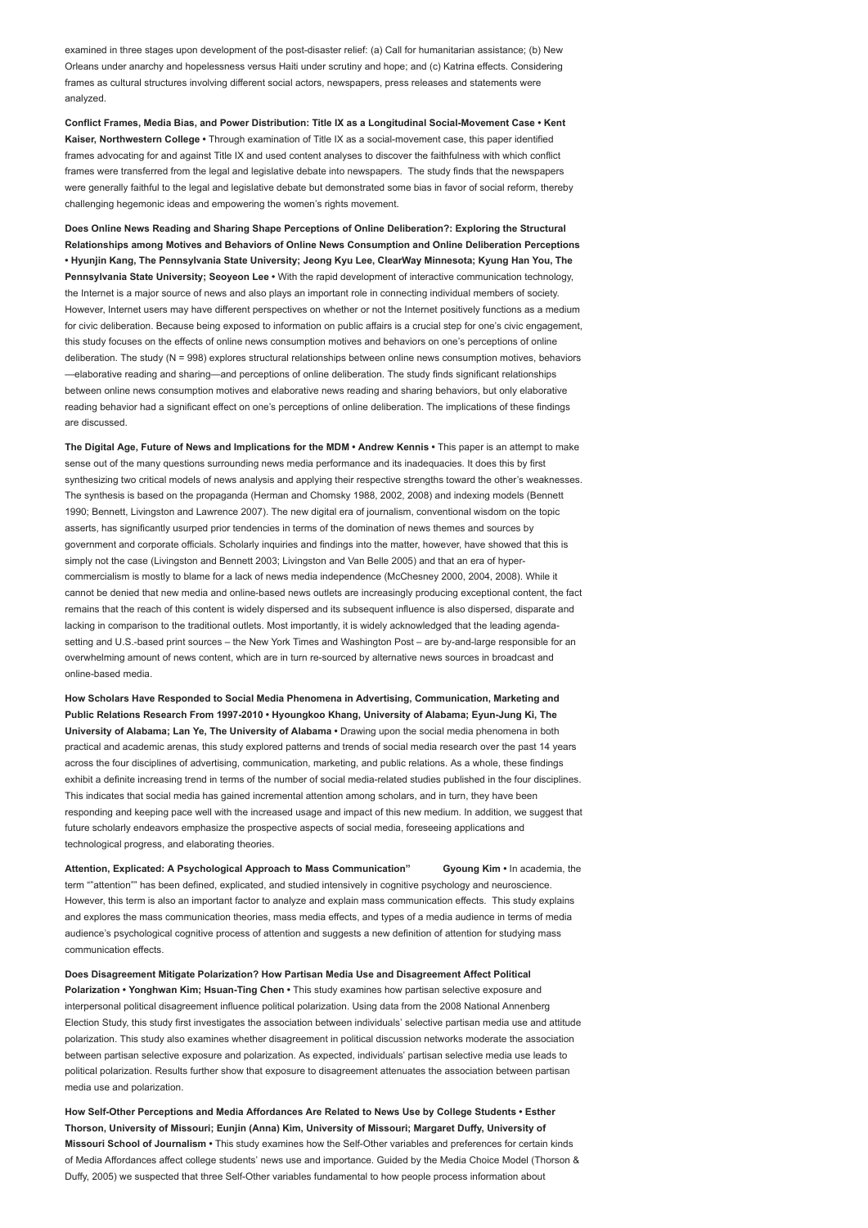examined in three stages upon development of the post-disaster relief: (a) Call for humanitarian assistance; (b) New Orleans under anarchy and hopelessness versus Haiti under scrutiny and hope; and (c) Katrina effects. Considering frames as cultural structures involving different social actors, newspapers, press releases and statements were analyzed.

Conflict Frames, Media Bias, and Power Distribution: Title IX as a Longitudinal Social-Movement Case • Kent Kaiser, Northwestern College • Through examination of Title IX as a social-movement case, this paper identified frames advocating for and against Title IX and used content analyses to discover the faithfulness with which conflict frames were transferred from the legal and legislative debate into newspapers. The study finds that the newspapers were generally faithful to the legal and legislative debate but demonstrated some bias in favor of social reform, thereby challenging hegemonic ideas and empowering the women's rights movement.

Does Online News Reading and Sharing Shape Perceptions of Online Deliberation?: Exploring the Structural Relationships among Motives and Behaviors of Online News Consumption and Online Deliberation Perceptions • Hyunjin Kang, The Pennsylvania State University; Jeong Kyu Lee, ClearWay Minnesota; Kyung Han You, The Pennsylvania State University; Seoyeon Lee • With the rapid development of interactive communication technology, the Internet is a major source of news and also plays an important role in connecting individual members of society However, Internet users may have different perspectives on whether or not the Internet positively functions as a medium for civic deliberation. Because being exposed to information on public affairs is a crucial step for one's civic engagement, this study focuses on the effects of online news consumption motives and behaviors on one's perceptions of online deliberation. The study (N = 998) explores structural relationships between online news consumption motives, behaviors —elaborative reading and sharing—and perceptions of online deliberation. The study finds significant relationships between online news consumption motives and elaborative news reading and sharing behaviors, but only elaborative reading behavior had a significant effect on one's perceptions of online deliberation. The implications of these findings are discussed.

The Digital Age, Future of News and Implications for the MDM • Andrew Kennis • This paper is an attempt to make sense out of the many questions surrounding news media performance and its inadequacies. It does this by first synthesizing two critical models of news analysis and applying their respective strengths toward the other's weaknesses. The synthesis is based on the propaganda (Herman and Chomsky 1988, 2002, 2008) and indexing models (Bennett 1990; Bennett, Livingston and Lawrence 2007). The new digital era of journalism, conventional wisdom on the topic asserts, has significantly usurped prior tendencies in terms of the domination of news themes and sources by government and corporate officials. Scholarly inquiries and findings into the matter, however, have showed that this is simply not the case (Livingston and Bennett 2003; Livingston and Van Belle 2005) and that an era of hypercommercialism is mostly to blame for a lack of news media independence (McChesney 2000, 2004, 2008). While it cannot be denied that new media and online-based news outlets are increasingly producing exceptional content, the fact remains that the reach of this content is widely dispersed and its subsequent influence is also dispersed, disparate and lacking in comparison to the traditional outlets. Most importantly, it is widely acknowledged that the leading agendasetting and U.S.-based print sources – the New York Times and Washington Post – are by-and-large responsible for an overwhelming amount of news content, which are in turn re-sourced by alternative news sources in broadcast and online-based media.

How Scholars Have Responded to Social Media Phenomena in Advertising, Communication, Marketing and Public Relations Research From 1997-2010 • Hyoungkoo Khang, University of Alabama; Eyun-Jung Ki, The University of Alabama; Lan Ye, The University of Alabama • Drawing upon the social media phenomena in both practical and academic arenas, this study explored patterns and trends of social media research over the past 14 years across the four disciplines of advertising, communication, marketing, and public relations. As a whole, these findings exhibit a definite increasing trend in terms of the number of social media-related studies published in the four disciplines. This indicates that social media has gained incremental attention among scholars, and in turn, they have been responding and keeping pace well with the increased usage and impact of this new medium. In addition, we suggest that future scholarly endeavors emphasize the prospective aspects of social media, foreseeing applications and technological progress, and elaborating theories.

Attention, Explicated: A Psychological Approach to Mass Communication" Gyoung Kim • In academia, the term ""attention"" has been defined, explicated, and studied intensively in cognitive psychology and neuroscience. However, this term is also an important factor to analyze and explain mass communication effects. This study explains and explores the mass communication theories, mass media effects, and types of a media audience in terms of media audience's psychological cognitive process of attention and suggests a new definition of attention for studying mass communication effects.

Does Disagreement Mitigate Polarization? How Partisan Media Use and Disagreement Affect Political Polarization • Yonghwan Kim; Hsuan-Ting Chen • This study examines how partisan selective exposure and interpersonal political disagreement influence political polarization. Using data from the 2008 National Annenberg Election Study, this study first investigates the association between individuals' selective partisan media use and attitude polarization. This study also examines whether disagreement in political discussion networks moderate the association between partisan selective exposure and polarization. As expected, individuals' partisan selective media use leads to political polarization. Results further show that exposure to disagreement attenuates the association between partisan media use and polarization.

How Self-Other Perceptions and Media Affordances Are Related to News Use by College Students • Esther Thorson, University of Missouri; Eunjin (Anna) Kim, University of Missouri; Margaret Duffy, University of Missouri School of Journalism • This study examines how the Self-Other variables and preferences for certain kinds of Media Affordances affect college students' news use and importance. Guided by the Media Choice Model (Thorson & Duffy, 2005) we suspected that three Self-Other variables fundamental to how people process information about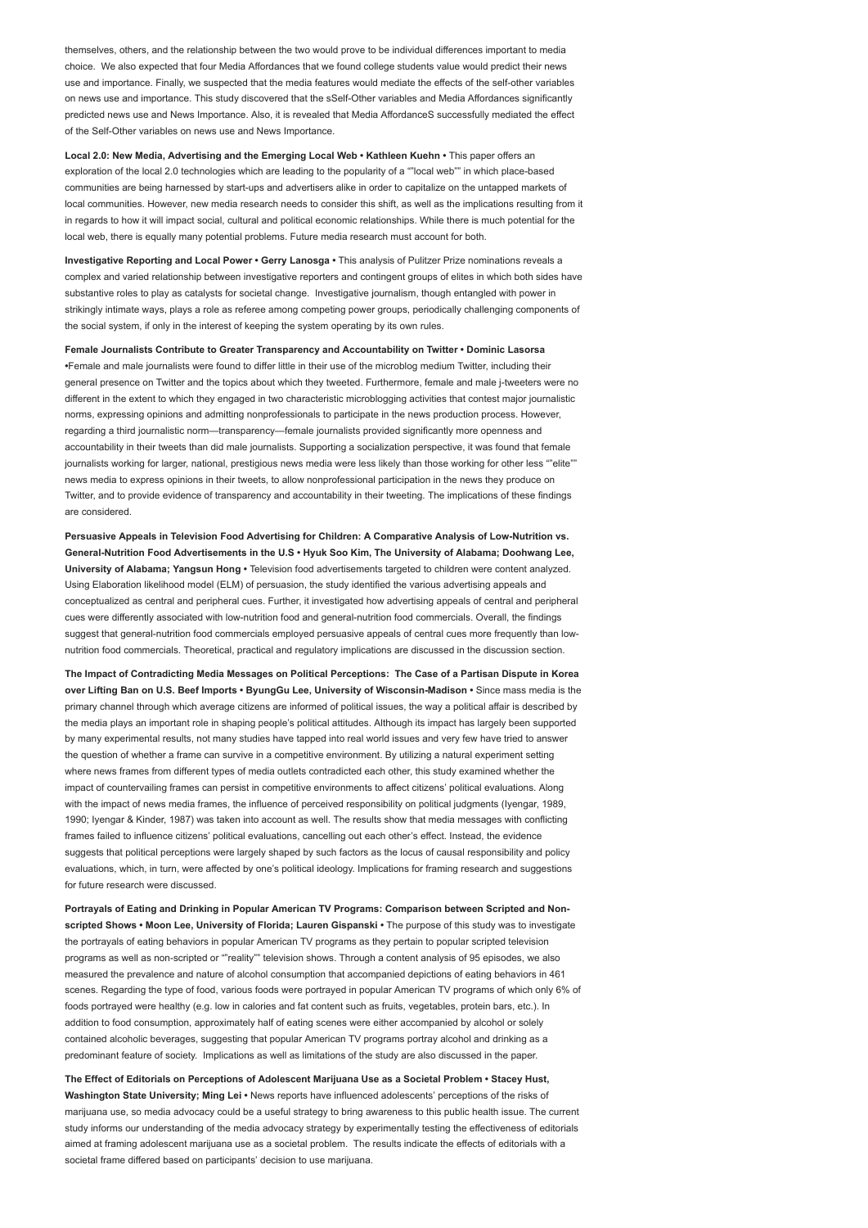themselves, others, and the relationship between the two would prove to be individual differences important to media choice. We also expected that four Media Affordances that we found college students value would predict their news use and importance. Finally, we suspected that the media features would mediate the effects of the self-other variables on news use and importance. This study discovered that the sSelf-Other variables and Media Affordances significantly predicted news use and News Importance. Also, it is revealed that Media AffordanceS successfully mediated the effect of the Self-Other variables on news use and News Importance.

Local 2.0: New Media, Advertising and the Emerging Local Web • Kathleen Kuehn • This paper offers an exploration of the local 2.0 technologies which are leading to the popularity of a ""local web"" in which place-based communities are being harnessed by start-ups and advertisers alike in order to capitalize on the untapped markets of local communities. However, new media research needs to consider this shift, as well as the implications resulting from it in regards to how it will impact social, cultural and political economic relationships. While there is much potential for the local web, there is equally many potential problems. Future media research must account for both.

Investigative Reporting and Local Power • Gerry Lanosga • This analysis of Pulitzer Prize nominations reveals a complex and varied relationship between investigative reporters and contingent groups of elites in which both sides have substantive roles to play as catalysts for societal change. Investigative journalism, though entangled with power in strikingly intimate ways, plays a role as referee among competing power groups, periodically challenging components of the social system, if only in the interest of keeping the system operating by its own rules.

Female Journalists Contribute to Greater Transparency and Accountability on Twitter • Dominic Lasorsa •Female and male journalists were found to differ little in their use of the microblog medium Twitter, including their general presence on Twitter and the topics about which they tweeted. Furthermore, female and male j-tweeters were no different in the extent to which they engaged in two characteristic microblogging activities that contest major journalistic norms, expressing opinions and admitting nonprofessionals to participate in the news production process. However, regarding a third journalistic norm—transparency—female journalists provided significantly more openness and accountability in their tweets than did male journalists. Supporting a socialization perspective, it was found that female journalists working for larger, national, prestigious news media were less likely than those working for other less ""elite"" news media to express opinions in their tweets, to allow nonprofessional participation in the news they produce on Twitter, and to provide evidence of transparency and accountability in their tweeting. The implications of these findings are considered.

Persuasive Appeals in Television Food Advertising for Children: A Comparative Analysis of Low-Nutrition vs. General-Nutrition Food Advertisements in the U.S • Hyuk Soo Kim, The University of Alabama; Doohwang Lee, University of Alabama; Yangsun Hong • Television food advertisements targeted to children were content analyzed. Using Elaboration likelihood model (ELM) of persuasion, the study identified the various advertising appeals and conceptualized as central and peripheral cues. Further, it investigated how advertising appeals of central and peripheral cues were differently associated with low-nutrition food and general-nutrition food commercials. Overall, the findings suggest that general-nutrition food commercials employed persuasive appeals of central cues more frequently than lownutrition food commercials. Theoretical, practical and regulatory implications are discussed in the discussion section.

The Impact of Contradicting Media Messages on Political Perceptions: The Case of a Partisan Dispute in Korea over Lifting Ban on U.S. Beef Imports • ByungGu Lee, University of Wisconsin-Madison • Since mass media is the primary channel through which average citizens are informed of political issues, the way a political affair is described by the media plays an important role in shaping people's political attitudes. Although its impact has largely been supported by many experimental results, not many studies have tapped into real world issues and very few have tried to answer the question of whether a frame can survive in a competitive environment. By utilizing a natural experiment setting where news frames from different types of media outlets contradicted each other, this study examined whether the impact of countervailing frames can persist in competitive environments to affect citizens' political evaluations. Along with the impact of news media frames, the influence of perceived responsibility on political judgments (Iyengar, 1989, 1990; Iyengar & Kinder, 1987) was taken into account as well. The results show that media messages with conflicting frames failed to influence citizens' political evaluations, cancelling out each other's effect. Instead, the evidence suggests that political perceptions were largely shaped by such factors as the locus of causal responsibility and policy evaluations, which, in turn, were affected by one's political ideology. Implications for framing research and suggestions for future research were discussed.

Portrayals of Eating and Drinking in Popular American TV Programs: Comparison between Scripted and Nonscripted Shows • Moon Lee, University of Florida; Lauren Gispanski • The purpose of this study was to investigate the portrayals of eating behaviors in popular American TV programs as they pertain to popular scripted television programs as well as non-scripted or ""reality"" television shows. Through a content analysis of 95 episodes, we also measured the prevalence and nature of alcohol consumption that accompanied depictions of eating behaviors in 461 scenes. Regarding the type of food, various foods were portrayed in popular American TV programs of which only 6% of foods portrayed were healthy (e.g. low in calories and fat content such as fruits, vegetables, protein bars, etc.). In addition to food consumption, approximately half of eating scenes were either accompanied by alcohol or solely contained alcoholic beverages, suggesting that popular American TV programs portray alcohol and drinking as a predominant feature of society. Implications as well as limitations of the study are also discussed in the paper.

The Effect of Editorials on Perceptions of Adolescent Marijuana Use as a Societal Problem • Stacey Hust, Washington State University; Ming Lei • News reports have influenced adolescents' perceptions of the risks of marijuana use, so media advocacy could be a useful strategy to bring awareness to this public health issue. The current study informs our understanding of the media advocacy strategy by experimentally testing the effectiveness of editorials aimed at framing adolescent marijuana use as a societal problem. The results indicate the effects of editorials with a societal frame differed based on participants' decision to use marijuana.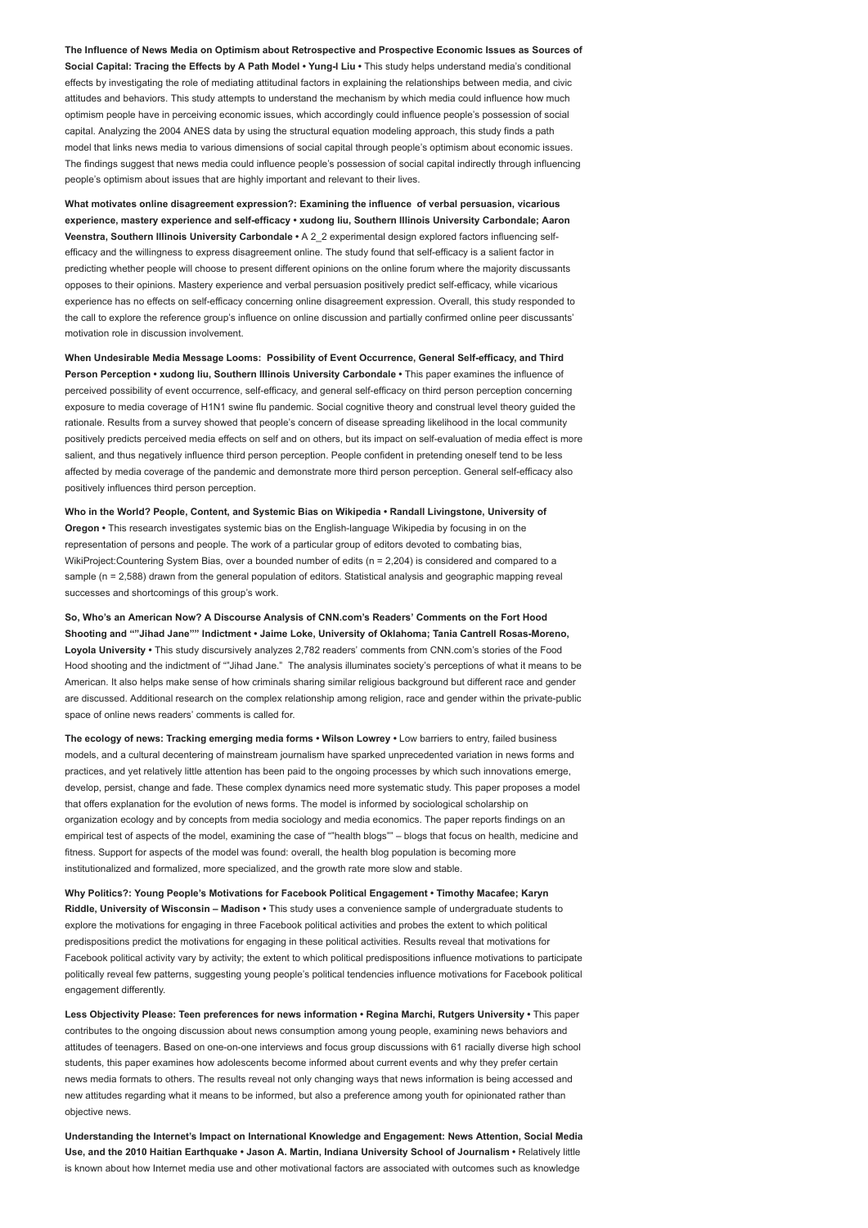The Influence of News Media on Optimism about Retrospective and Prospective Economic Issues as Sources of Social Capital: Tracing the Effects by A Path Model • Yung-I Liu • This study helps understand media's conditional effects by investigating the role of mediating attitudinal factors in explaining the relationships between media, and civic attitudes and behaviors. This study attempts to understand the mechanism by which media could influence how much optimism people have in perceiving economic issues, which accordingly could influence people's possession of social capital. Analyzing the 2004 ANES data by using the structural equation modeling approach, this study finds a path model that links news media to various dimensions of social capital through people's optimism about economic issues. The findings suggest that news media could influence people's possession of social capital indirectly through influencing people's optimism about issues that are highly important and relevant to their lives.

What motivates online disagreement expression?: Examining the influence of verbal persuasion, vicarious experience, mastery experience and self-efficacy • xudong liu, Southern Illinois University Carbondale; Aaron Veenstra, Southern Illinois University Carbondale · A 2\_2 experimental design explored factors influencing selfefficacy and the willingness to express disagreement online. The study found that self-efficacy is a salient factor in predicting whether people will choose to present different opinions on the online forum where the majority discussants opposes to their opinions. Mastery experience and verbal persuasion positively predict self-efficacy, while vicarious experience has no effects on self-efficacy concerning online disagreement expression. Overall, this study responded to the call to explore the reference group's influence on online discussion and partially confirmed online peer discussants' motivation role in discussion involvement.

When Undesirable Media Message Looms: Possibility of Event Occurrence, General Self-efficacy, and Third Person Perception • xudong liu, Southern Illinois University Carbondale • This paper examines the influence of perceived possibility of event occurrence, self-efficacy, and general self-efficacy on third person perception concerning exposure to media coverage of H1N1 swine flu pandemic. Social cognitive theory and construal level theory guided the rationale. Results from a survey showed that people's concern of disease spreading likelihood in the local community positively predicts perceived media effects on self and on others, but its impact on self-evaluation of media effect is more salient, and thus negatively influence third person perception. People confident in pretending oneself tend to be less affected by media coverage of the pandemic and demonstrate more third person perception. General self-efficacy also positively influences third person perception.

Who in the World? People, Content, and Systemic Bias on Wikipedia • Randall Livingstone, University of Oregon • This research investigates systemic bias on the English-language Wikipedia by focusing in on the representation of persons and people. The work of a particular group of editors devoted to combating bias, WikiProject:Countering System Bias, over a bounded number of edits (n = 2,204) is considered and compared to a sample (n = 2,588) drawn from the general population of editors. Statistical analysis and geographic mapping reveal successes and shortcomings of this group's work.

So, Who's an American Now? A Discourse Analysis of CNN.com's Readers' Comments on the Fort Hood Shooting and ""Jihad Jane"" Indictment • Jaime Loke, University of Oklahoma; Tania Cantrell Rosas-Moreno, Loyola University • This study discursively analyzes 2,782 readers' comments from CNN.com's stories of the Food Hood shooting and the indictment of ""Jihad Jane." The analysis illuminates society's perceptions of what it means to be American. It also helps make sense of how criminals sharing similar religious background but different race and gender are discussed. Additional research on the complex relationship among religion, race and gender within the private-public space of online news readers' comments is called for.

The ecology of news: Tracking emerging media forms • Wilson Lowrey • Low barriers to entry, failed business models, and a cultural decentering of mainstream journalism have sparked unprecedented variation in news forms and practices, and yet relatively little attention has been paid to the ongoing processes by which such innovations emerge, develop, persist, change and fade. These complex dynamics need more systematic study. This paper proposes a model that offers explanation for the evolution of news forms. The model is informed by sociological scholarship on organization ecology and by concepts from media sociology and media economics. The paper reports findings on an empirical test of aspects of the model, examining the case of ""health blogs"" – blogs that focus on health, medicine and fitness. Support for aspects of the model was found: overall, the health blog population is becoming more institutionalized and formalized, more specialized, and the growth rate more slow and stable.

Why Politics?: Young People's Motivations for Facebook Political Engagement • Timothy Macafee; Karyn Riddle, University of Wisconsin – Madison • This study uses a convenience sample of undergraduate students to explore the motivations for engaging in three Facebook political activities and probes the extent to which political predispositions predict the motivations for engaging in these political activities. Results reveal that motivations for Facebook political activity vary by activity; the extent to which political predispositions influence motivations to participate politically reveal few patterns, suggesting young people's political tendencies influence motivations for Facebook political engagement differently.

Less Objectivity Please: Teen preferences for news information • Regina Marchi, Rutgers University • This paper contributes to the ongoing discussion about news consumption among young people, examining news behaviors and attitudes of teenagers. Based on one-on-one interviews and focus group discussions with 61 racially diverse high school students, this paper examines how adolescents become informed about current events and why they prefer certain news media formats to others. The results reveal not only changing ways that news information is being accessed and new attitudes regarding what it means to be informed, but also a preference among youth for opinionated rather than objective news.

Understanding the Internet's Impact on International Knowledge and Engagement: News Attention, Social Media Use, and the 2010 Haitian Earthquake • Jason A. Martin, Indiana University School of Journalism • Relatively little is known about how Internet media use and other motivational factors are associated with outcomes such as knowledge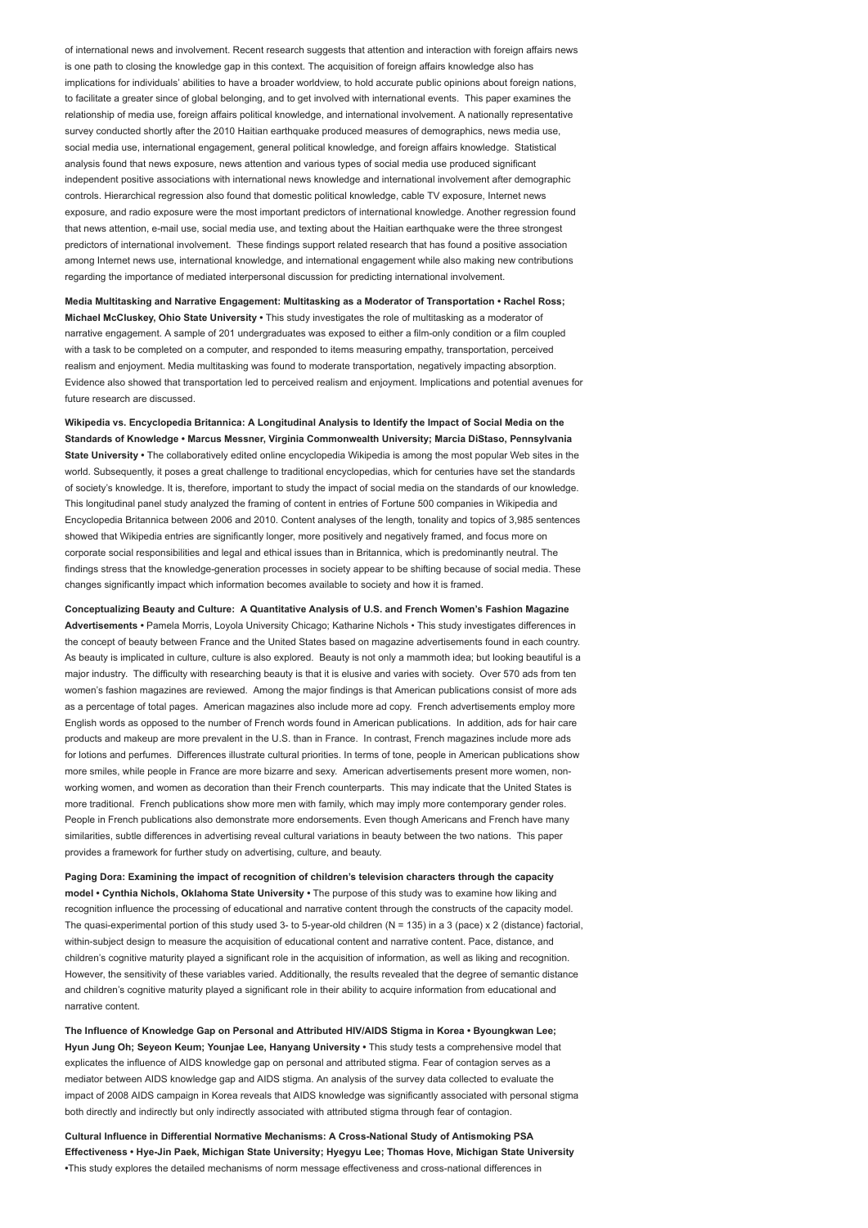of international news and involvement. Recent research suggests that attention and interaction with foreign affairs news is one path to closing the knowledge gap in this context. The acquisition of foreign affairs knowledge also has implications for individuals' abilities to have a broader worldview, to hold accurate public opinions about foreign nations, to facilitate a greater since of global belonging, and to get involved with international events. This paper examines the relationship of media use, foreign affairs political knowledge, and international involvement. A nationally representative survey conducted shortly after the 2010 Haitian earthquake produced measures of demographics, news media use, social media use, international engagement, general political knowledge, and foreign affairs knowledge. Statistical analysis found that news exposure, news attention and various types of social media use produced significant independent positive associations with international news knowledge and international involvement after demographic controls. Hierarchical regression also found that domestic political knowledge, cable TV exposure, Internet news exposure, and radio exposure were the most important predictors of international knowledge. Another regression found that news attention, e-mail use, social media use, and texting about the Haitian earthquake were the three strongest predictors of international involvement. These findings support related research that has found a positive association among Internet news use, international knowledge, and international engagement while also making new contributions regarding the importance of mediated interpersonal discussion for predicting international involvement.

Media Multitasking and Narrative Engagement: Multitasking as a Moderator of Transportation • Rachel Ross; Michael McCluskey, Ohio State University • This study investigates the role of multitasking as a moderator of narrative engagement. A sample of 201 undergraduates was exposed to either a film-only condition or a film coupled with a task to be completed on a computer, and responded to items measuring empathy, transportation, perceived realism and enjoyment. Media multitasking was found to moderate transportation, negatively impacting absorption. Evidence also showed that transportation led to perceived realism and enjoyment. Implications and potential avenues for future research are discussed.

Wikipedia vs. Encyclopedia Britannica: A Longitudinal Analysis to Identify the Impact of Social Media on the Standards of Knowledge • Marcus Messner, Virginia Commonwealth University; Marcia DiStaso, Pennsylvania State University • The collaboratively edited online encyclopedia Wikipedia is among the most popular Web sites in the world. Subsequently, it poses a great challenge to traditional encyclopedias, which for centuries have set the standards of society's knowledge. It is, therefore, important to study the impact of social media on the standards of our knowledge. This longitudinal panel study analyzed the framing of content in entries of Fortune 500 companies in Wikipedia and Encyclopedia Britannica between 2006 and 2010. Content analyses of the length, tonality and topics of 3,985 sentences showed that Wikipedia entries are significantly longer, more positively and negatively framed, and focus more on corporate social responsibilities and legal and ethical issues than in Britannica, which is predominantly neutral. The findings stress that the knowledge-generation processes in society appear to be shifting because of social media. These changes significantly impact which information becomes available to society and how it is framed.

Conceptualizing Beauty and Culture: A Quantitative Analysis of U.S. and French Women's Fashion Magazine Advertisements • Pamela Morris, Loyola University Chicago; Katharine Nichols • This study investigates differences in the concept of beauty between France and the United States based on magazine advertisements found in each country. As beauty is implicated in culture, culture is also explored. Beauty is not only a mammoth idea; but looking beautiful is a major industry. The difficulty with researching beauty is that it is elusive and varies with society. Over 570 ads from ten women's fashion magazines are reviewed. Among the major findings is that American publications consist of more ads as a percentage of total pages. American magazines also include more ad copy. French advertisements employ more English words as opposed to the number of French words found in American publications. In addition, ads for hair care products and makeup are more prevalent in the U.S. than in France. In contrast, French magazines include more ads for lotions and perfumes. Differences illustrate cultural priorities. In terms of tone, people in American publications show more smiles, while people in France are more bizarre and sexy. American advertisements present more women, nonworking women, and women as decoration than their French counterparts. This may indicate that the United States is more traditional. French publications show more men with family, which may imply more contemporary gender roles. People in French publications also demonstrate more endorsements. Even though Americans and French have many similarities, subtle differences in advertising reveal cultural variations in beauty between the two nations. This paper provides a framework for further study on advertising, culture, and beauty.

Paging Dora: Examining the impact of recognition of children's television characters through the capacity model • Cynthia Nichols, Oklahoma State University • The purpose of this study was to examine how liking and recognition influence the processing of educational and narrative content through the constructs of the capacity model. The quasi-experimental portion of this study used 3- to 5-year-old children (N = 135) in a 3 (pace) x 2 (distance) factorial, within-subject design to measure the acquisition of educational content and narrative content. Pace, distance, and children's cognitive maturity played a significant role in the acquisition of information, as well as liking and recognition. However, the sensitivity of these variables varied. Additionally, the results revealed that the degree of semantic distance and children's cognitive maturity played a significant role in their ability to acquire information from educational and narrative content.

The Influence of Knowledge Gap on Personal and Attributed HIV/AIDS Stigma in Korea • Byoungkwan Lee; Hyun Jung Oh; Seyeon Keum; Younjae Lee, Hanyang University • This study tests a comprehensive model that explicates the influence of AIDS knowledge gap on personal and attributed stigma. Fear of contagion serves as a mediator between AIDS knowledge gap and AIDS stigma. An analysis of the survey data collected to evaluate the impact of 2008 AIDS campaign in Korea reveals that AIDS knowledge was significantly associated with personal stigma both directly and indirectly but only indirectly associated with attributed stigma through fear of contagion.

Cultural Influence in Differential Normative Mechanisms: A Cross-National Study of Antismoking PSA Effectiveness • Hye-Jin Paek, Michigan State University; Hyegyu Lee; Thomas Hove, Michigan State University •This study explores the detailed mechanisms of norm message effectiveness and cross-national differences in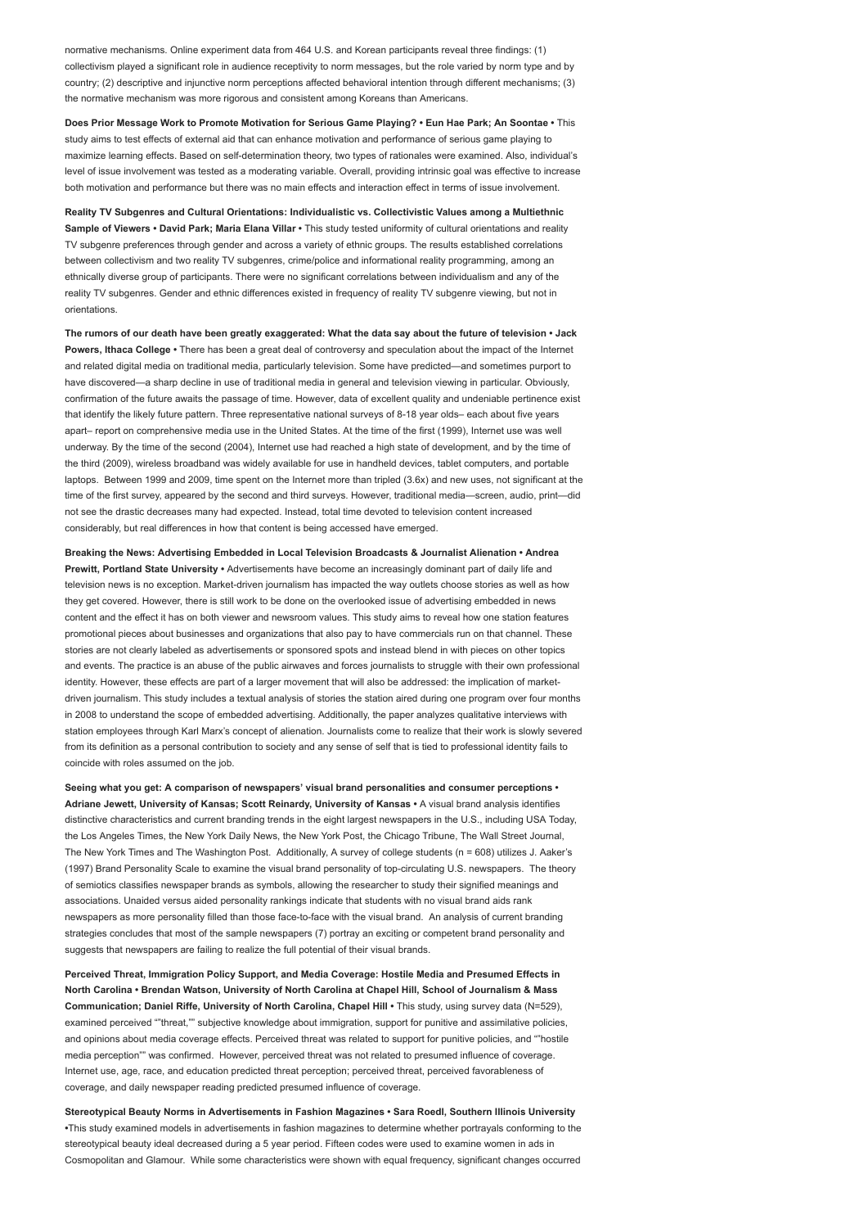normative mechanisms. Online experiment data from 464 U.S. and Korean participants reveal three findings: (1) collectivism played a significant role in audience receptivity to norm messages, but the role varied by norm type and by country; (2) descriptive and injunctive norm perceptions affected behavioral intention through different mechanisms; (3) the normative mechanism was more rigorous and consistent among Koreans than Americans.

Does Prior Message Work to Promote Motivation for Serious Game Playing? • Eun Hae Park; An Soontae • This study aims to test effects of external aid that can enhance motivation and performance of serious game playing to maximize learning effects. Based on self-determination theory, two types of rationales were examined. Also, individual's level of issue involvement was tested as a moderating variable. Overall, providing intrinsic goal was effective to increase both motivation and performance but there was no main effects and interaction effect in terms of issue involvement.

Reality TV Subgenres and Cultural Orientations: Individualistic vs. Collectivistic Values among a Multiethnic Sample of Viewers • David Park; Maria Elana Villar • This study tested uniformity of cultural orientations and reality TV subgenre preferences through gender and across a variety of ethnic groups. The results established correlations between collectivism and two reality TV subgenres, crime/police and informational reality programming, among an ethnically diverse group of participants. There were no significant correlations between individualism and any of the reality TV subgenres. Gender and ethnic differences existed in frequency of reality TV subgenre viewing, but not in orientations.

The rumors of our death have been greatly exaggerated: What the data say about the future of television • Jack Powers, Ithaca College • There has been a great deal of controversy and speculation about the impact of the Internet and related digital media on traditional media, particularly television. Some have predicted—and sometimes purport to have discovered—a sharp decline in use of traditional media in general and television viewing in particular. Obviously, confirmation of the future awaits the passage of time. However, data of excellent quality and undeniable pertinence exist that identify the likely future pattern. Three representative national surveys of 8-18 year olds– each about five years apart– report on comprehensive media use in the United States. At the time of the first (1999), Internet use was well underway. By the time of the second (2004), Internet use had reached a high state of development, and by the time of the third (2009), wireless broadband was widely available for use in handheld devices, tablet computers, and portable laptops. Between 1999 and 2009, time spent on the Internet more than tripled (3.6x) and new uses, not significant at the time of the first survey, appeared by the second and third surveys. However, traditional media—screen, audio, print—did not see the drastic decreases many had expected. Instead, total time devoted to television content increased considerably, but real differences in how that content is being accessed have emerged.

Breaking the News: Advertising Embedded in Local Television Broadcasts & Journalist Alienation • Andrea Prewitt, Portland State University • Advertisements have become an increasingly dominant part of daily life and television news is no exception. Market-driven journalism has impacted the way outlets choose stories as well as how they get covered. However, there is still work to be done on the overlooked issue of advertising embedded in news content and the effect it has on both viewer and newsroom values. This study aims to reveal how one station features promotional pieces about businesses and organizations that also pay to have commercials run on that channel. These stories are not clearly labeled as advertisements or sponsored spots and instead blend in with pieces on other topics and events. The practice is an abuse of the public airwaves and forces journalists to struggle with their own professional identity. However, these effects are part of a larger movement that will also be addressed: the implication of marketdriven journalism. This study includes a textual analysis of stories the station aired during one program over four months in 2008 to understand the scope of embedded advertising. Additionally, the paper analyzes qualitative interviews with station employees through Karl Marx's concept of alienation. Journalists come to realize that their work is slowly severed from its definition as a personal contribution to society and any sense of self that is tied to professional identity fails to coincide with roles assumed on the job.

Seeing what you get: A comparison of newspapers' visual brand personalities and consumer perceptions • Adriane Jewett, University of Kansas; Scott Reinardy, University of Kansas • A visual brand analysis identifies distinctive characteristics and current branding trends in the eight largest newspapers in the U.S., including USA Today, the Los Angeles Times, the New York Daily News, the New York Post, the Chicago Tribune, The Wall Street Journal, The New York Times and The Washington Post. Additionally, A survey of college students (n = 608) utilizes J. Aaker's (1997) Brand Personality Scale to examine the visual brand personality of top-circulating U.S. newspapers. The theory of semiotics classifies newspaper brands as symbols, allowing the researcher to study their signified meanings and associations. Unaided versus aided personality rankings indicate that students with no visual brand aids rank newspapers as more personality filled than those face-to-face with the visual brand. An analysis of current branding strategies concludes that most of the sample newspapers (7) portray an exciting or competent brand personality and suggests that newspapers are failing to realize the full potential of their visual brands.

Perceived Threat, Immigration Policy Support, and Media Coverage: Hostile Media and Presumed Effects in North Carolina • Brendan Watson, University of North Carolina at Chapel Hill, School of Journalism & Mass Communication; Daniel Riffe, University of North Carolina, Chapel Hill • This study, using survey data (N=529), examined perceived ""threat,"" subjective knowledge about immigration, support for punitive and assimilative policies, and opinions about media coverage effects. Perceived threat was related to support for punitive policies, and ""hostile media perception"" was confirmed. However, perceived threat was not related to presumed influence of coverage. Internet use, age, race, and education predicted threat perception; perceived threat, perceived favorableness of coverage, and daily newspaper reading predicted presumed influence of coverage.

Stereotypical Beauty Norms in Advertisements in Fashion Magazines • Sara Roedl, Southern Illinois University •This study examined models in advertisements in fashion magazines to determine whether portrayals conforming to the stereotypical beauty ideal decreased during a 5 year period. Fifteen codes were used to examine women in ads in Cosmopolitan and Glamour. While some characteristics were shown with equal frequency, significant changes occurred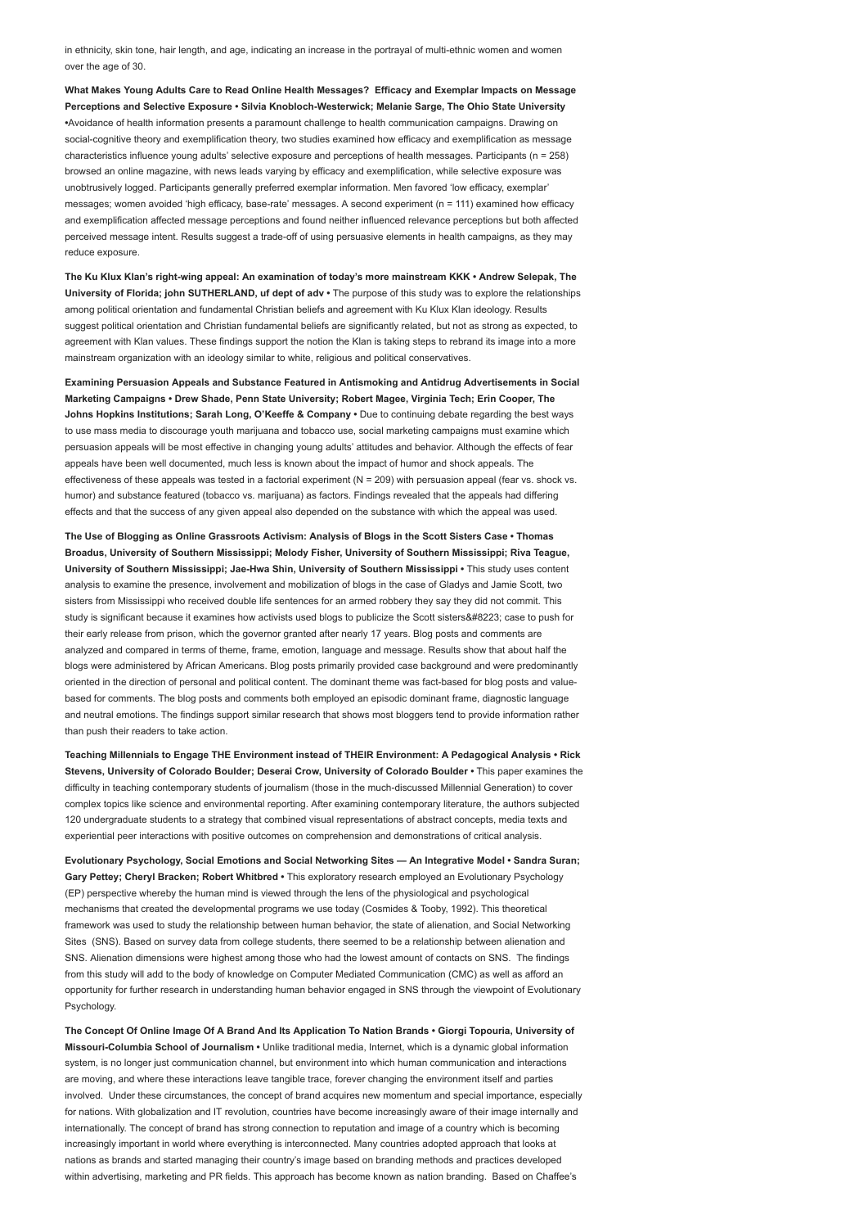in ethnicity, skin tone, hair length, and age, indicating an increase in the portrayal of multi-ethnic women and women over the age of 30.

What Makes Young Adults Care to Read Online Health Messages? Efficacy and Exemplar Impacts on Message Perceptions and Selective Exposure • Silvia Knobloch-Westerwick; Melanie Sarge, The Ohio State University •Avoidance of health information presents a paramount challenge to health communication campaigns. Drawing on social-cognitive theory and exemplification theory, two studies examined how efficacy and exemplification as message characteristics influence young adults' selective exposure and perceptions of health messages. Participants (n = 258) browsed an online magazine, with news leads varying by efficacy and exemplification, while selective exposure was unobtrusively logged. Participants generally preferred exemplar information. Men favored 'low efficacy, exemplar' messages; women avoided 'high efficacy, base-rate' messages. A second experiment (n = 111) examined how efficacy and exemplification affected message perceptions and found neither influenced relevance perceptions but both affected perceived message intent. Results suggest a trade-off of using persuasive elements in health campaigns, as they may reduce exposure.

The Ku Klux Klan's right-wing appeal: An examination of today's more mainstream KKK • Andrew Selepak, The University of Florida; john SUTHERLAND, uf dept of adv • The purpose of this study was to explore the relationships among political orientation and fundamental Christian beliefs and agreement with Ku Klux Klan ideology. Results suggest political orientation and Christian fundamental beliefs are significantly related, but not as strong as expected, to agreement with Klan values. These findings support the notion the Klan is taking steps to rebrand its image into a more mainstream organization with an ideology similar to white, religious and political conservatives.

Examining Persuasion Appeals and Substance Featured in Antismoking and Antidrug Advertisements in Social Marketing Campaigns • Drew Shade, Penn State University; Robert Magee, Virginia Tech; Erin Cooper, The Johns Hopkins Institutions; Sarah Long, O'Keeffe & Company • Due to continuing debate regarding the best ways to use mass media to discourage youth marijuana and tobacco use, social marketing campaigns must examine which persuasion appeals will be most effective in changing young adults' attitudes and behavior. Although the effects of fear appeals have been well documented, much less is known about the impact of humor and shock appeals. The effectiveness of these appeals was tested in a factorial experiment ( $N = 209$ ) with persuasion appeal (fear vs. shock vs. humor) and substance featured (tobacco vs. marijuana) as factors. Findings revealed that the appeals had differing effects and that the success of any given appeal also depended on the substance with which the appeal was used.

The Use of Blogging as Online Grassroots Activism: Analysis of Blogs in the Scott Sisters Case • Thomas Broadus, University of Southern Mississippi; Melody Fisher, University of Southern Mississippi; Riva Teague, University of Southern Mississippi; Jae-Hwa Shin, University of Southern Mississippi • This study uses content analysis to examine the presence, involvement and mobilization of blogs in the case of Gladys and Jamie Scott, two sisters from Mississippi who received double life sentences for an armed robbery they say they did not commit. This study is significant because it examines how activists used blogs to publicize the Scott sisters" case to push for their early release from prison, which the governor granted after nearly 17 years. Blog posts and comments are analyzed and compared in terms of theme, frame, emotion, language and message. Results show that about half the blogs were administered by African Americans. Blog posts primarily provided case background and were predominantly oriented in the direction of personal and political content. The dominant theme was fact-based for blog posts and valuebased for comments. The blog posts and comments both employed an episodic dominant frame, diagnostic language and neutral emotions. The findings support similar research that shows most bloggers tend to provide information rather than push their readers to take action.

Teaching Millennials to Engage THE Environment instead of THEIR Environment: A Pedagogical Analysis • Rick Stevens, University of Colorado Boulder; Deserai Crow, University of Colorado Boulder • This paper examines the difficulty in teaching contemporary students of journalism (those in the much-discussed Millennial Generation) to cover complex topics like science and environmental reporting. After examining contemporary literature, the authors subjected 120 undergraduate students to a strategy that combined visual representations of abstract concepts, media texts and experiential peer interactions with positive outcomes on comprehension and demonstrations of critical analysis.

Evolutionary Psychology, Social Emotions and Social Networking Sites — An Integrative Model • Sandra Suran; Gary Pettey; Cheryl Bracken; Robert Whitbred • This exploratory research employed an Evolutionary Psychology (EP) perspective whereby the human mind is viewed through the lens of the physiological and psychological mechanisms that created the developmental programs we use today (Cosmides & Tooby, 1992). This theoretical framework was used to study the relationship between human behavior, the state of alienation, and Social Networking Sites (SNS). Based on survey data from college students, there seemed to be a relationship between alienation and SNS. Alienation dimensions were highest among those who had the lowest amount of contacts on SNS. The findings from this study will add to the body of knowledge on Computer Mediated Communication (CMC) as well as afford an opportunity for further research in understanding human behavior engaged in SNS through the viewpoint of Evolutionary Psychology.

The Concept Of Online Image Of A Brand And Its Application To Nation Brands • Giorgi Topouria, University of Missouri-Columbia School of Journalism • Unlike traditional media, Internet, which is a dynamic global information system, is no longer just communication channel, but environment into which human communication and interactions are moving, and where these interactions leave tangible trace, forever changing the environment itself and parties involved. Under these circumstances, the concept of brand acquires new momentum and special importance, especially for nations. With globalization and IT revolution, countries have become increasingly aware of their image internally and internationally. The concept of brand has strong connection to reputation and image of a country which is becoming increasingly important in world where everything is interconnected. Many countries adopted approach that looks at nations as brands and started managing their country's image based on branding methods and practices developed within advertising, marketing and PR fields. This approach has become known as nation branding. Based on Chaffee's